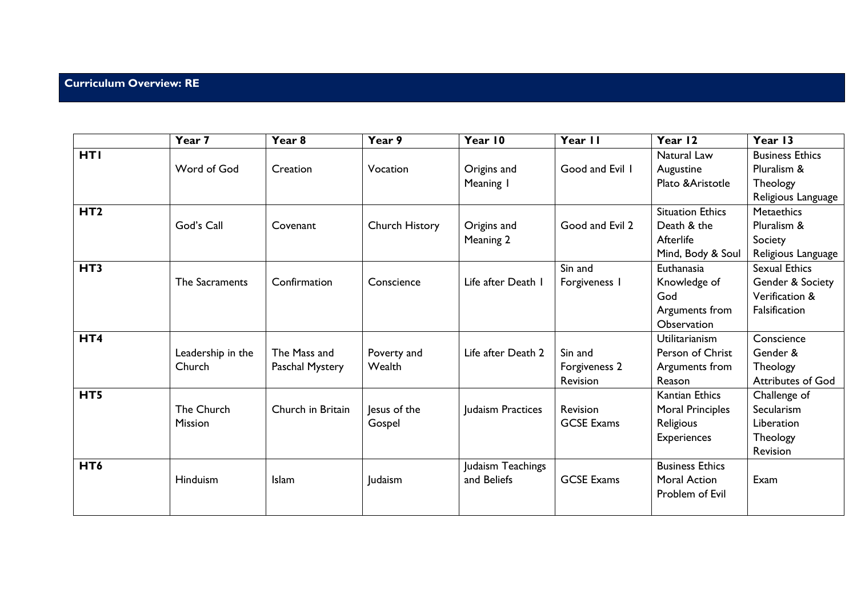## **Curriculum Overview: RE**

|                 | Year 7            | Year 8            | Year 9         | Year 10            | Year II           | Year 12                 | Year 13                  |
|-----------------|-------------------|-------------------|----------------|--------------------|-------------------|-------------------------|--------------------------|
| <b>HTI</b>      |                   |                   |                |                    |                   | Natural Law             | <b>Business Ethics</b>   |
|                 | Word of God       | Creation          | Vocation       | Origins and        | Good and Evil 1   | Augustine               | Pluralism &              |
|                 |                   |                   |                | Meaning I          |                   | Plato & Aristotle       | Theology                 |
|                 |                   |                   |                |                    |                   |                         | Religious Language       |
| HT <sub>2</sub> |                   |                   |                |                    |                   | <b>Situation Ethics</b> | <b>Metaethics</b>        |
|                 | God's Call        | Covenant          | Church History | Origins and        | Good and Evil 2   | Death & the             | Pluralism &              |
|                 |                   |                   |                | Meaning 2          |                   | Afterlife               | Society                  |
|                 |                   |                   |                |                    |                   | Mind, Body & Soul       | Religious Language       |
| HT <sub>3</sub> |                   |                   |                |                    | Sin and           | Euthanasia              | <b>Sexual Ethics</b>     |
|                 | The Sacraments    | Confirmation      | Conscience     | Life after Death 1 | Forgiveness I     | Knowledge of            | Gender & Society         |
|                 |                   |                   |                |                    |                   | God                     | Verification &           |
|                 |                   |                   |                |                    |                   | Arguments from          | Falsification            |
|                 |                   |                   |                |                    |                   | Observation             |                          |
| HT4             |                   |                   |                |                    |                   | <b>Utilitarianism</b>   | Conscience               |
|                 | Leadership in the | The Mass and      | Poverty and    | Life after Death 2 | Sin and           | Person of Christ        | Gender &                 |
|                 | Church            | Paschal Mystery   | Wealth         |                    | Forgiveness 2     | Arguments from          | Theology                 |
|                 |                   |                   |                |                    | Revision          | Reason                  | <b>Attributes of God</b> |
| HT5             |                   |                   |                |                    |                   | <b>Kantian Ethics</b>   | Challenge of             |
|                 | The Church        | Church in Britain | Jesus of the   | Judaism Practices  | Revision          | Moral Principles        | Secularism               |
|                 | Mission           |                   | Gospel         |                    | <b>GCSE Exams</b> | Religious               | Liberation               |
|                 |                   |                   |                |                    |                   | <b>Experiences</b>      | Theology                 |
|                 |                   |                   |                |                    |                   |                         | Revision                 |
| HT <sub>6</sub> |                   |                   |                | Judaism Teachings  |                   | <b>Business Ethics</b>  |                          |
|                 | Hinduism          | Islam             | Judaism        | and Beliefs        | <b>GCSE Exams</b> | <b>Moral Action</b>     | Exam                     |
|                 |                   |                   |                |                    |                   | Problem of Evil         |                          |
|                 |                   |                   |                |                    |                   |                         |                          |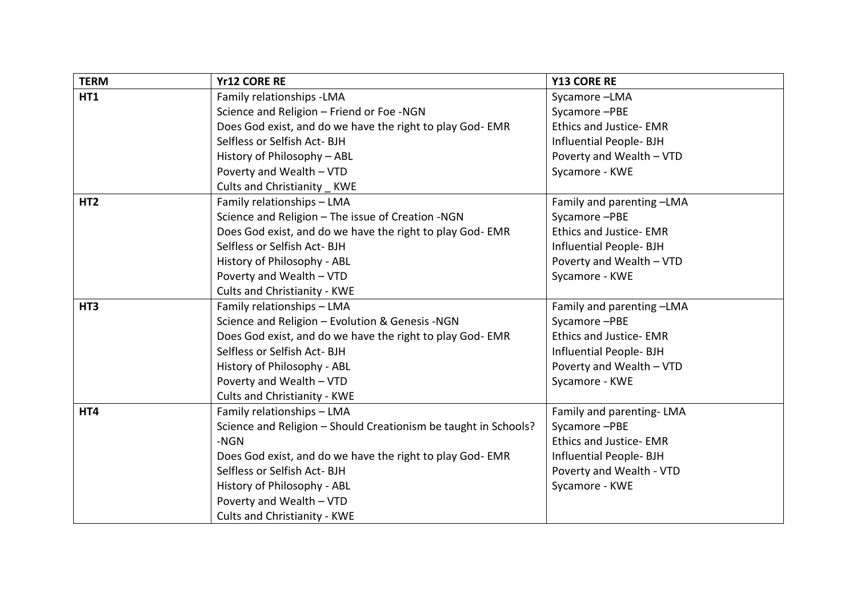| <b>TERM</b>     | <b>Yr12 CORE RE</b>                                             | <b>Y13 CORE RE</b>             |
|-----------------|-----------------------------------------------------------------|--------------------------------|
| HT1             | Family relationships - LMA                                      | Sycamore-LMA                   |
|                 | Science and Religion - Friend or Foe -NGN                       | Sycamore-PBE                   |
|                 | Does God exist, and do we have the right to play God-EMR        | <b>Ethics and Justice-EMR</b>  |
|                 | Selfless or Selfish Act- BJH                                    | Influential People-BJH         |
|                 | History of Philosophy - ABL                                     | Poverty and Wealth - VTD       |
|                 | Poverty and Wealth - VTD                                        | Sycamore - KWE                 |
|                 | Cults and Christianity KWE                                      |                                |
| HT <sub>2</sub> | Family relationships - LMA                                      | Family and parenting -LMA      |
|                 | Science and Religion - The issue of Creation -NGN               | Sycamore-PBE                   |
|                 | Does God exist, and do we have the right to play God-EMR        | <b>Ethics and Justice- EMR</b> |
|                 | Selfless or Selfish Act- BJH                                    | Influential People-BJH         |
|                 | History of Philosophy - ABL                                     | Poverty and Wealth - VTD       |
|                 | Poverty and Wealth - VTD                                        | Sycamore - KWE                 |
|                 | Cults and Christianity - KWE                                    |                                |
| HT <sub>3</sub> | Family relationships - LMA                                      | Family and parenting -LMA      |
|                 | Science and Religion - Evolution & Genesis -NGN                 | Sycamore-PBE                   |
|                 | Does God exist, and do we have the right to play God-EMR        | <b>Ethics and Justice-EMR</b>  |
|                 | Selfless or Selfish Act- BJH                                    | Influential People- BJH        |
|                 | History of Philosophy - ABL                                     | Poverty and Wealth - VTD       |
|                 | Poverty and Wealth - VTD                                        | Sycamore - KWE                 |
|                 | <b>Cults and Christianity - KWE</b>                             |                                |
| HT4             | Family relationships - LMA                                      | Family and parenting-LMA       |
|                 | Science and Religion - Should Creationism be taught in Schools? | Sycamore-PBE                   |
|                 | -NGN                                                            | <b>Ethics and Justice-EMR</b>  |
|                 | Does God exist, and do we have the right to play God-EMR        | Influential People-BJH         |
|                 | Selfless or Selfish Act- BJH                                    | Poverty and Wealth - VTD       |
|                 | History of Philosophy - ABL                                     | Sycamore - KWE                 |
|                 | Poverty and Wealth - VTD                                        |                                |
|                 | Cults and Christianity - KWE                                    |                                |